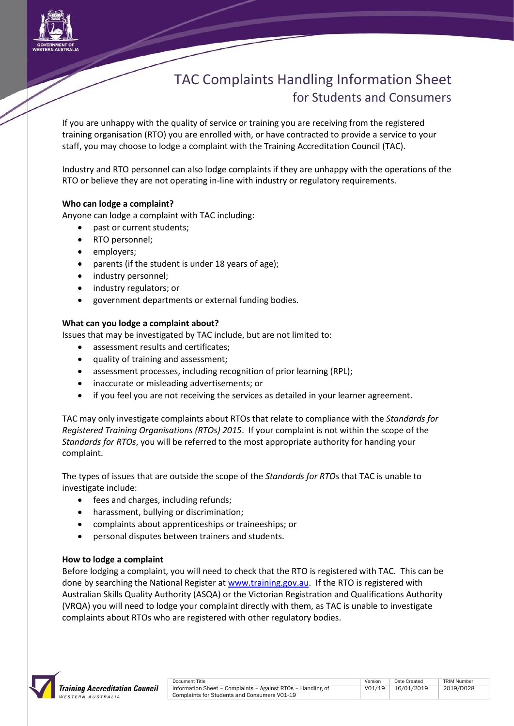

# TAC Complaints Handling Information Sheet for Students and Consumers

If you are unhappy with the quality of service or training you are receiving from the registered training organisation (RTO) you are enrolled with, or have contracted to provide a service to your staff, you may choose to lodge a complaint with the Training Accreditation Council (TAC).

Industry and RTO personnel can also lodge complaints if they are unhappy with the operations of the RTO or believe they are not operating in-line with industry or regulatory requirements.

# **Who can lodge a complaint?**

Anyone can lodge a complaint with TAC including:

- past or current students;
- RTO personnel;
- employers;
- parents (if the student is under 18 years of age);
- industry personnel;
- industry regulators; or
- government departments or external funding bodies.

# **What can you lodge a complaint about?**

Issues that may be investigated by TAC include, but are not limited to:

- assessment results and certificates;
- quality of training and assessment;
- assessment processes, including recognition of prior learning (RPL);
- inaccurate or misleading advertisements; or
- if you feel you are not receiving the services as detailed in your learner agreement.

TAC may only investigate complaints about RTOs that relate to compliance with the *Standards for Registered Training Organisations (RTOs) 2015*. If your complaint is not within the scope of the *Standards for RTOs*, you will be referred to the most appropriate authority for handing your complaint.

The types of issues that are outside the scope of the *Standards for RTOs* that TAC is unable to investigate include:

- fees and charges, including refunds;
- harassment, bullying or discrimination;
- complaints about apprenticeships or traineeships; or
- personal disputes between trainers and students.

# **How to lodge a complaint**

Before lodging a complaint, you will need to check that the RTO is registered with TAC. This can be done by searching the National Register at [www.training.gov.au.](http://www.training.gov.au/) If the RTO is registered with Australian Skills Quality Authority (ASQA) or the Victorian Registration and Qualifications Authority (VRQA) you will need to lodge your complaint directly with them, as TAC is unable to investigate complaints about RTOs who are registered with other regulatory bodies.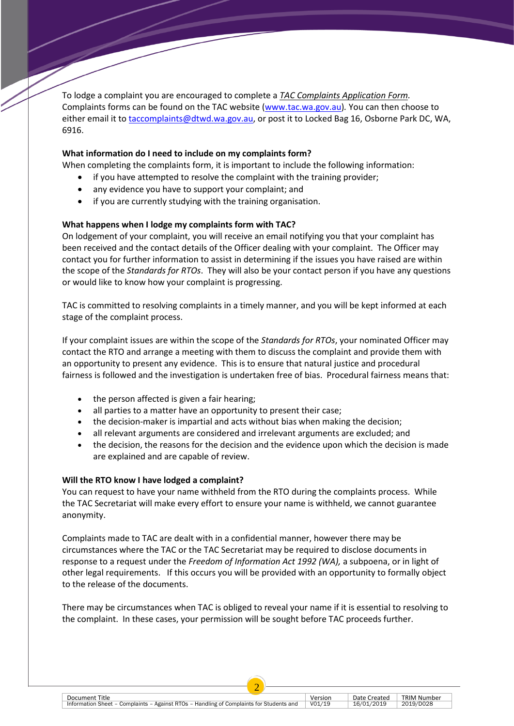To lodge a complaint you are encouraged to complete a *TAC Complaints Application Form.*  Complaints forms can be found on the TAC website [\(www.tac.wa.gov.au\)](http://www.tac.wa.gov.au/)*.* You can then choose to either email it to [taccomplaints@dtwd.wa.gov.au,](mailto:taccomplaints@dtwd.wa.gov.au) or post it to Locked Bag 16, Osborne Park DC, WA, 6916.

## **What information do I need to include on my complaints form?**

When completing the complaints form, it is important to include the following information:

- if you have attempted to resolve the complaint with the training provider;
- any evidence you have to support your complaint; and
- if you are currently studying with the training organisation.

## **What happens when I lodge my complaints form with TAC?**

On lodgement of your complaint, you will receive an email notifying you that your complaint has been received and the contact details of the Officer dealing with your complaint. The Officer may contact you for further information to assist in determining if the issues you have raised are within the scope of the *Standards for RTOs*. They will also be your contact person if you have any questions or would like to know how your complaint is progressing.

TAC is committed to resolving complaints in a timely manner, and you will be kept informed at each stage of the complaint process.

If your complaint issues are within the scope of the *Standards for RTOs*, your nominated Officer may contact the RTO and arrange a meeting with them to discuss the complaint and provide them with an opportunity to present any evidence. This is to ensure that natural justice and procedural fairness is followed and the investigation is undertaken free of bias. Procedural fairness means that:

- the person affected is given a fair hearing;
- all parties to a matter have an opportunity to present their case;
- the decision-maker is impartial and acts without bias when making the decision;
- all relevant arguments are considered and irrelevant arguments are excluded; and
- the decision, the reasons for the decision and the evidence upon which the decision is made are explained and are capable of review.

#### **Will the RTO know I have lodged a complaint?**

Consumers

You can request to have your name withheld from the RTO during the complaints process. While the TAC Secretariat will make every effort to ensure your name is withheld, we cannot guarantee anonymity.

Complaints made to TAC are dealt with in a confidential manner, however there may be circumstances where the TAC or the TAC Secretariat may be required to disclose documents in response to a request under the *Freedom of Information Act 1992 (WA),* a subpoena, or in light of other legal requirements. If this occurs you will be provided with an opportunity to formally object to the release of the documents.

There may be circumstances when TAC is obliged to reveal your name if it is essential to resolving to the complaint. In these cases, your permission will be sought before TAC proceeds further.